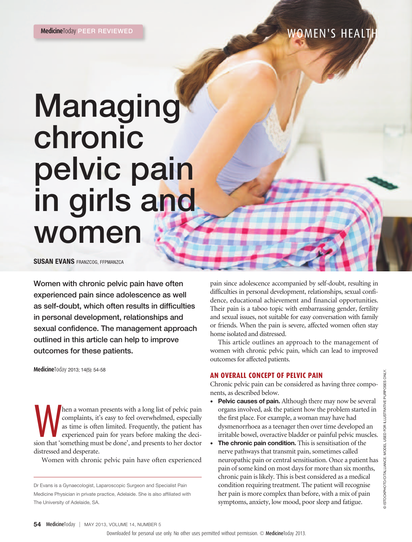# **Medicine**Today PEER REVIEWED **And Account of the USA CONSUMENTS HEALT**

# **Managing chronic pelvic pain in girls and women**

**SUSAN EVANS** FRANZCOG, FFPMANZCA

**Women with chronic pelvic pain have often experienced pain since adolescence as well as self-doubt, which often results in difficulties in personal development, relationships and sexual confidence. The management approach outlined in this article can help to improve outcomes for these patients.** 

**Medicine**Today 2013; 14(5): 54-58

Men a woman presents with a long list of pelvic pain complaints, it's easy to feel overwhelmed, especially as time is often limited. Frequently, the patient has experienced pain for years before making the decision that 's complaints, it's easy to feel overwhelmed, especially as time is often limited. Frequently, the patient has experienced pain for years before making the decidistressed and desperate.

Women with chronic pelvic pain have often experienced

pain since adolescence accompanied by self-doubt, resulting in difficulties in personal development, relationships, sexual confidence, educational achievement and financial opportunities. Their pain is a taboo topic with embarrassing gender, fertility and sexual issues, not suitable for easy conversation with family or friends. When the pain is severe, affected women often stay home isolated and distressed.

This article outlines an approach to the management of women with chronic pelvic pain, which can lead to improved outcomes for affected patients.

# **AN OVERALL CONCEPT OF PELVIC PAIN**

Chronic pelvic pain can be considered as having three components, as described below.

- **Pelvic causes of pain.** Although there may now be several organs involved, ask the patient how the problem started in the first place. For example, a woman may have had dysmenorrhoea as a teenager then over time developed an irritable bowel, overactive bladder or painful pelvic muscles.
- **The chronic pain condition.** This is sensitisation of the nerve pathways that transmit pain, sometimes called neuropathic pain or central sensitisation. Once a patient has pain of some kind on most days for more than six months, chronic pain is likely. This is best considered as a medical condition requiring treatment. The patient will recognise her pain is more complex than before, with a mix of pain symptoms, anxiety, low mood, poor sleep and fatigue.

Dr Evans is a Gynaecologist, Laparoscopic Surgeon and Specialist Pain Medicine Physician in private practice, Adelaide. She is also affiliated with The University of Adelaide, SA.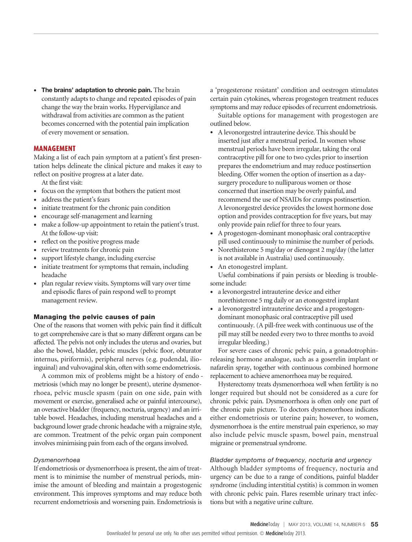• **The brains' adaptation to chronic pain.** The brain constantly adapts to change and repeated episodes of pain change the way the brain works. Hypervigilance and withdrawal from activities are common as the patient becomes concerned with the potential pain implication of every movement or sensation.

# **MANAGEMENT**

Making a list of each pain symptom at a patient's first presentation helps delineate the clinical picture and makes it easy to reflect on positive progress at a later date.

- At the first visit:
- focus on the symptom that bothers the patient most
- address the patient's fears
- initiate treatment for the chronic pain condition
- encourage self-management and learning<br>• make a follow-up appointment to retain the
- make a follow-up appointment to retain the patient's trust. At the follow-up visit:
- reflect on the positive progress made<br>• review treatments for chronic pain
- review treatments for chronic pain
- support lifestyle change, including exercise
- initiate treatment for symptoms that remain, including headache
- plan regular review visits. Symptoms will vary over time and episodic flares of pain respond well to prompt management review.

#### **Managing the pelvic causes of pain**

One of the reasons that women with pelvic pain find it difficult to get comprehensive care is that so many different organs can be affected. The pelvis not only includes the uterus and ovaries, but also the bowel, bladder, pelvic muscles (pelvic floor, obturator internus, piriformis), peripheral nerves (e.g. pudendal, ilioinguinal) and vulvovaginal skin, often with some endometriosis.

A common mix of problems might be a history of endo metriosis (which may no longer be present), uterine dysmenorrhoea, pelvic muscle spasm (pain on one side, pain with movement or exercise, generalised ache or painful intercourse), an overactive bladder (frequency, nocturia, urgency) and an irritable bowel. Headaches, including menstrual headaches and a background lower grade chronic headache with a migraine style, are common. Treatment of the pelvic organ pain component involves minimising pain from each of the organs involved.

#### *Dysmenorrhoea*

If endometriosis or dysmenorrhoea is present, the aim of treatment is to minimise the number of menstrual periods, minimise the amount of bleeding and maintain a progestogenic environment. This improves symptoms and may reduce both recurrent endometriosis and worsening pain. Endometriosis is a 'progesterone resistant' condition and oestrogen stimulates certain pain cytokines, whereas progestogen treatment reduces symptoms and may reduce episodes of recurrent endometriosis.

Suitable options for management with progestogen are outlined below.

- A levonorgestrel intrauterine device. This should be inserted just after a menstrual period. In women whose menstrual periods have been irregular, taking the oral contraceptive pill for one to two cycles prior to insertion prepares the endometrium and may reduce postinsertion bleeding. Offer women the option of insertion as a daysurgery procedure to nulliparous women or those concerned that insertion may be overly painful, and recommend the use of NSAIDs for cramps postinsertion. A levonorgestrel device provides the lowest hormone dose option and provides contraception for five years, but may only provide pain relief for three to four years.
- A progestogen-dominant monophasic oral contraceptive pill used continuously to minimise the number of periods.
- Norethisterone 5 mg/day or dienogest 2 mg/day (the latter is not available in Australia) used continuously.
- An etonogestrel implant. Useful combinations if pain persists or bleeding is troublesome include:
- a levonorgestrel intrauterine device and either norethisterone 5 mg daily or an etonogestrel implant
- a levonorgestrel intrauterine device and a progestogendominant monophasic oral contraceptive pill used continuously. (A pill-free week with continuous use of the pill may still be needed every two to three months to avoid irregular bleeding.)

For severe cases of chronic pelvic pain, a gonadotrophinreleasing hormone analogue, such as a goserelin implant or nafarelin spray, together with continuous combined hormone replacement to achieve amenorrhoea may be required.

Hysterectomy treats dysmenorrhoea well when fertility is no longer required but should not be considered as a cure for chronic pelvic pain. Dysmenorrhoea is often only one part of the chronic pain picture. To doctors dysmenorrhoea indicates either endometriosis or uterine pain; however, to women, dysmenorrhoea is the entire menstrual pain experience, so may also include pelvic muscle spasm, bowel pain, menstrual migraine or premenstrual syndrome.

#### *Bladder symptoms of frequency, nocturia and urgency*

Although bladder symptoms of frequency, nocturia and urgency can be due to a range of conditions, painful bladder syndrome (including interstitial cystitis) is common in women with chronic pelvic pain. Flares resemble urinary tract infections but with a negative urine culture.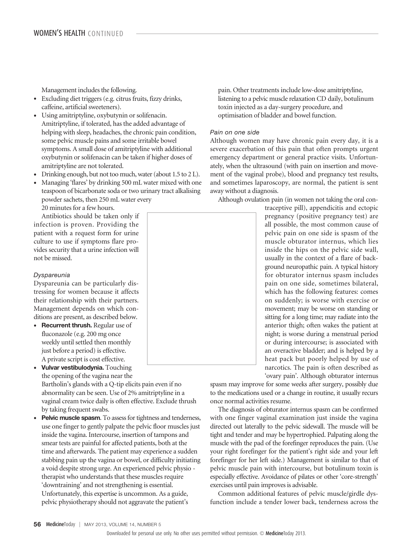Management includes the following.

- Excluding diet triggers (e.g. citrus fruits, fizzy drinks, caffeine, artificial sweeteners).
- Using amitriptyline, oxybutynin or solifenacin. Amitriptyline, if tolerated, has the added advantage of helping with sleep, headaches, the chronic pain condition, some pelvic muscle pains and some irritable bowel symptoms. A small dose of amitriptyline with additional oxybutynin or solifenacin can be taken if higher doses of amitriptyline are not tolerated.
- Drinking enough, but not too much, water (about 1.5 to 2 L).
- Managing 'flares' by drinking 500 mL water mixed with one teaspoon of bicarbonate soda or two urinary tract alkalising powder sachets, then 250 mL water every 20 minutes for a few hours.

Antibiotics should be taken only if infection is proven. Providing the patient with a request form for urine culture to use if symptoms flare provides security that a urine infection will not be missed.

# *Dyspareunia*

Dyspareunia can be particularly distressing for women because it affects their relationship with their partners. Management depends on which conditions are present, as described below.

- **Recurrent thrush.** Regular use of fluconazole (e.g. 200 mg once weekly until settled then monthly just before a period) is effective. A private script is cost effective.
- **Vulvar vestibulodynia.** Touching the opening of the vagina near the Bartholin's glands with a Q-tip elicits pain even if no abnormality can be seen. Use of 2% amitriptyline in a

vaginal cream twice daily is often effective. Exclude thrush by taking frequent swabs.

• **Pelvic muscle spasm**. To assess for tightness and tenderness, use one finger to gently palpate the pelvic floor muscles just inside the vagina. Intercourse, insertion of tampons and smear tests are painful for affected patients, both at the time and afterwards. The patient may experience a sudden stabbing pain up the vagina or bowel, or difficulty initiating a void despite strong urge. An experienced pelvic physio therapist who understands that these muscles require 'downtraining' and not strengthening is essential. Unfortunately, this expertise is uncommon. As a guide, pelvic physiotherapy should not aggravate the patient's

pain. Other treatments include low-dose amitriptyline, listening to a pelvic muscle relaxation CD daily, botulinum toxin injected as a day-surgery procedure, and optimisation of bladder and bowel function.

#### *Pain on one side*

Although women may have chronic pain every day, it is a severe exacerbation of this pain that often prompts urgent emergency department or general practice visits. Unfortunately, when the ultrasound (with pain on insertion and movement of the vaginal probe), blood and pregnancy test results, and sometimes laparoscopy, are normal, the patient is sent away without a diagnosis.

Although ovulation pain (in women not taking the oral con-



traceptive pill), appendicitis and ectopic pregnancy (positive pregnancy test) are all possible, the most common cause of pelvic pain on one side is spasm of the muscle obturator internus, which lies inside the hips on the pelvic side wall, usually in the context of a flare of background neuropathic pain. A typical history for obturator internus spasm includes pain on one side, sometimes bilateral, which has the following features: comes on suddenly; is worse with exercise or movement; may be worse on standing or sitting for a long time; may radiate into the anterior thigh; often wakes the patient at night; is worse during a menstrual period or during intercourse; is associated with an overactive bladder; and is helped by a heat pack but poorly helped by use of narcotics. The pain is often described as 'ovary pain'. Although obturator internus

spasm may improve for some weeks after surgery, possibly due to the medications used or a change in routine, it usually recurs once normal activities resume.

The diagnosis of obturator internus spasm can be confirmed with one finger vaginal examination just inside the vagina directed out laterally to the pelvic sidewall. The muscle will be tight and tender and may be hypertrophied. Palpating along the muscle with the pad of the forefinger reproduces the pain. (Use your right forefinger for the patient's right side and your left forefinger for her left side.) Management is similar to that of pelvic muscle pain with intercourse, but botulinum toxin is especially effective. Avoidance of pilates or other 'core-strength' exercises until pain improves is advisable.

Common additional features of pelvic muscle/girdle dysfunction include a tender lower back, tenderness across the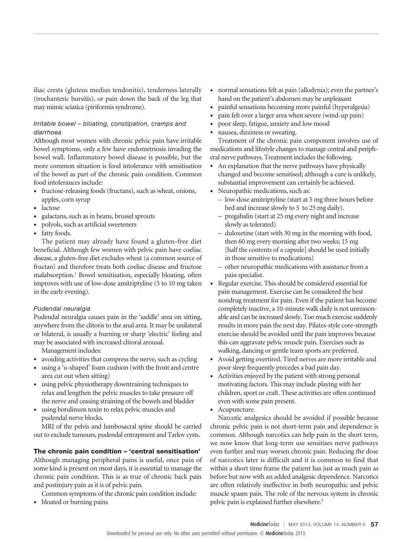iliac crests (gluteus medius tendonitis), tenderness laterally (trochanteric bursitis), or pain down the back of the leg that may mimic sciatica (piriformis syndrome).

# *Irritable bowel – bloating, constipation, cramps and diarrhoea*

Although most women with chronic pelvic pain have irritable bowel symptoms, only a few have endometriosis invading the bowel wall. Inflammatory bowel disease is possible, but the more common situation is food intolerance with sensitisation of the bowel as part of the chronic pain condition. Common food intolerances include:

- fructose-releasing foods (fructans), such as wheat, onions, apples, corn syrup
- lactose
- galactans, such as in beans, brussel sprouts
- polyols, such as artificial sweeteners
- fatty foods.

The patient may already have found a gluten-free diet beneficial. Although few women with pelvic pain have coeliac disease, a gluten-free diet excludes wheat (a common source of fructan) and therefore treats both coeliac disease and fructose malabsorption.1 Bowel sensitisation, especially bloating, often improves with use of low-dose amitriptyline (5 to 10 mg taken in the early evening).

# *Pudendal neuralgia*

Pudendal neuralgia causes pain in the 'saddle' area on sitting, anywhere from the clitoris to the anal area. It may be unilateral or bilateral, is usually a burning or sharp 'electric' feeling and may be associated with increased clitoral arousal.

Management includes:

- avoiding activities that compress the nerve, such as cycling
- using a 'u-shaped' foam cushion (with the front and centre area cut out when sitting)
- using pelvic physiotherapy downtraining techniques to relax and lengthen the pelvic muscles to take pressure off the nerve and ceasing straining of the bowels and bladder
- using botulinum toxin to relax pelvic muscles and pudendal nerve blocks.

MRI of the pelvis and lumbosacral spine should be carried out to exclude tumours, pudendal entrapment and Tarlov cysts.

# **The chronic pain condition – 'central sensitisation'**

Although managing peripheral pains is useful, once pain of some kind is present on most days, it is essential to manage the chronic pain condition. This is as true of chronic back pain and postinjury pain as it is of pelvic pain.

Common symptoms of the chronic pain condition include:

• bloated or burning pains

- normal sensations felt as pain (allodynia); even the partner's hand on the patient's abdomen may be unpleasant
- painful sensations becoming more painful (hyperalgesia)
- pain felt over a larger area when severe (wind-up pain)
- poor sleep, fatigue, anxiety and low mood
- nausea, dizziness or sweating.

Treatment of the chronic pain component involves use of medications and lifestyle changes to manage central and peripheral nerve pathways. Treatment includes the following.

- An explanation that the nerve pathways have physically changed and become sensitised; although a cure is unlikely, substantial improvement can certainly be achieved.
- Neuropathic medications, such as:
	- low-dose amitriptyline (start at 5 mg three hours before bed and increase slowly to 5 to 25 mg daily).
	- pregabalin (start at 25 mg every night and increase slowly as tolerated)
	- duloxetine (start with 30 mg in the morning with food, then 60 mg every morning after two weeks; 15 mg [half the contents of a capsule] should be used initially in those sensitive to medications)
	- other neuropathic medications with assistance from a pain specialist.
- Regular exercise. This should be considered essential for pain management. Exercise can be considered the best nondrug treatment for pain. Even if the patient has become completely inactive, a 10-minute walk daily is not unreasonable and can be increased slowly. Too much exercise suddenly results in more pain the next day. Pilates-style core-strength exercise should be avoided until the pain improves because this can aggravate pelvic muscle pain. Exercises such as walking, dancing or gentle team sports are preferred.
- Avoid getting overtired. Tired nerves are more irritable and poor sleep frequently precedes a bad pain day.
- Activities enjoyed by the patient with strong personal motivating factors. This may include playing with her children, sport or craft. These activities are often continued even with some pain present.
- Acupuncture.

Narcotic analgesics should be avoided if possible because chronic pelvic pain is not short-term pain and dependence is common. Although narcotics can help pain in the short term, we now know that long-term use sensitises nerve pathways even further and may worsen chronic pain. Reducing the dose of narcotics later is difficult and it is common to find that within a short time frame the patient has just as much pain as before but now with an added analgesic dependence. Narcotics are often relatively ineffective in both neuropathic and pelvic muscle spasm pain. The role of the nervous system in chronic pelvic pain is explained further elsewhere.<sup>2</sup>